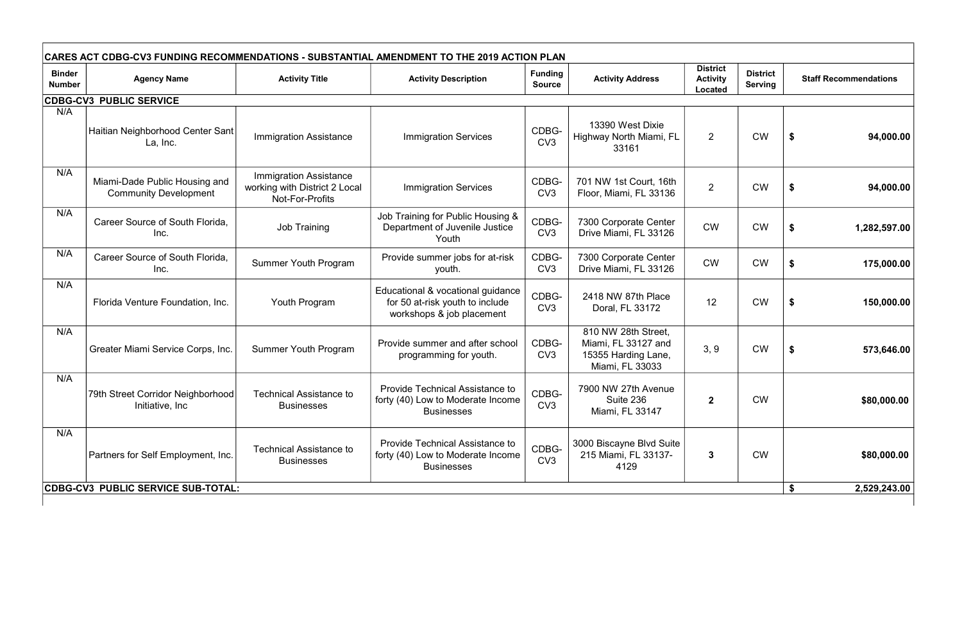| CARES ACT CDBG-CV3 FUNDING RECOMMENDATIONS - SUBSTANTIAL AMENDMENT TO THE 2019 ACTION PLAN |                                                               |                                                                                   |                                                                                                   |                                 |                                                                                      |                                                      |                                   |                              |              |  |
|--------------------------------------------------------------------------------------------|---------------------------------------------------------------|-----------------------------------------------------------------------------------|---------------------------------------------------------------------------------------------------|---------------------------------|--------------------------------------------------------------------------------------|------------------------------------------------------|-----------------------------------|------------------------------|--------------|--|
| <b>Binder</b><br><b>Number</b>                                                             | <b>Agency Name</b>                                            | <b>Activity Title</b>                                                             | <b>Activity Description</b>                                                                       | <b>Funding</b><br><b>Source</b> | <b>Activity Address</b>                                                              | <b>District</b><br><b>Activity</b><br><b>Located</b> | <b>District</b><br><b>Serving</b> | <b>Staff Recommendations</b> |              |  |
| <b>CDBG-CV3 PUBLIC SERVICE</b>                                                             |                                                               |                                                                                   |                                                                                                   |                                 |                                                                                      |                                                      |                                   |                              |              |  |
| N/A                                                                                        | Haitian Neighborhood Center Sant<br>La, Inc.                  | <b>Immigration Assistance</b>                                                     | <b>Immigration Services</b>                                                                       | CDBG-<br>CV <sub>3</sub>        | 13390 West Dixie<br>Highway North Miami, FL<br>33161                                 | $\overline{2}$                                       | <b>CW</b>                         | \$<br>94,000.00              |              |  |
| N/A                                                                                        | Miami-Dade Public Housing and<br><b>Community Development</b> | <b>Immigration Assistance</b><br>working with District 2 Local<br>Not-For-Profits | <b>Immigration Services</b>                                                                       | CDBG-<br>CV <sub>3</sub>        | 701 NW 1st Court, 16th<br>Floor, Miami, FL 33136                                     | $\overline{2}$                                       | <b>CW</b>                         | 94,000.00<br>\$              |              |  |
| N/A                                                                                        | Career Source of South Florida,<br>Inc.                       | <b>Job Training</b>                                                               | Job Training for Public Housing &<br>Department of Juvenile Justice<br>Youth                      | CDBG-<br>CV <sub>3</sub>        | 7300 Corporate Center<br>Drive Miami, FL 33126                                       | <b>CW</b>                                            | <b>CW</b>                         | 1,282,597.00                 |              |  |
| N/A                                                                                        | Career Source of South Florida,<br>Inc.                       | <b>Summer Youth Program</b>                                                       | Provide summer jobs for at-risk<br>youth.                                                         | CDBG-<br>CV <sub>3</sub>        | 7300 Corporate Center<br>Drive Miami, FL 33126                                       | <b>CW</b>                                            | <b>CW</b>                         | 175,000.00<br>\$             |              |  |
| N/A                                                                                        | Florida Venture Foundation, Inc.                              | Youth Program                                                                     | Educational & vocational guidance<br>for 50 at-risk youth to include<br>workshops & job placement | CDBG-<br>CV <sub>3</sub>        | 2418 NW 87th Place<br>Doral, FL 33172                                                | 12                                                   | <b>CW</b>                         | 150,000.00<br>\$             |              |  |
| N/A                                                                                        | Greater Miami Service Corps, Inc.                             | <b>Summer Youth Program</b>                                                       | Provide summer and after school<br>programming for youth.                                         | CDBG-<br>CV <sub>3</sub>        | 810 NW 28th Street,<br>Miami, FL 33127 and<br>15355 Harding Lane,<br>Miami, FL 33033 | 3, 9                                                 | <b>CW</b>                         | \$<br>573,646.00             |              |  |
| N/A                                                                                        | 79th Street Corridor Neighborhood<br>Initiative, Inc.         | <b>Technical Assistance to</b><br><b>Businesses</b>                               | <b>Provide Technical Assistance to</b><br>forty (40) Low to Moderate Income<br><b>Businesses</b>  | CDBG-<br>CV <sub>3</sub>        | 7900 NW 27th Avenue<br>Suite 236<br>Miami, FL 33147                                  | $\mathbf{2}$                                         | <b>CW</b>                         | \$80,000.00                  |              |  |
| N/A                                                                                        | Partners for Self Employment, Inc.                            | <b>Technical Assistance to</b><br><b>Businesses</b>                               | <b>Provide Technical Assistance to</b><br>forty (40) Low to Moderate Income<br><b>Businesses</b>  | CDBG-<br>CV <sub>3</sub>        | 3000 Biscayne Blvd Suite<br>215 Miami, FL 33137-<br>4129                             | $\mathbf{3}$                                         | <b>CW</b>                         | \$80,000.00                  |              |  |
| CDBG-CV3 PUBLIC SERVICE SUB-TOTAL:                                                         |                                                               |                                                                                   |                                                                                                   |                                 |                                                                                      |                                                      |                                   |                              | 2,529,243.00 |  |